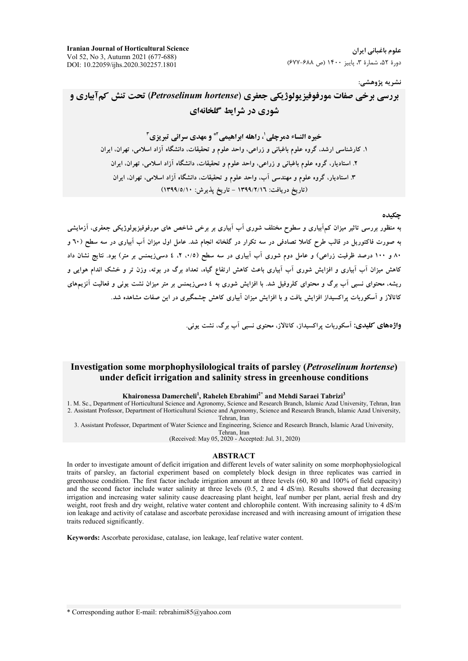علوم باغیانی ایران دورهٔ ۵۲، شمارهٔ ۳، پاییز ۱۴۰۰ (ص ۶۸۸-۶۷۷)

#### نشريه پژوهشي:

بررسی برخی صفات مورفوفیزیولوژیکی جعفری (Petroselinum hortense) تحت تنش کمآبیاری و شوری در شرایط گلخانهای

.<br>خيره النساء دمرچلي ، راهله ابراهيمي آ\* و مهدي سرائي تبريزي آ ۱. کارشناسی ارشد، گروه علوم باغبانی و زراعی، واحد علوم و تحقیقات، دانشگاه آزاد اسلامی، تهران، ایران ۲. استادیار، گروه علوم باغبانی و زراعی، واحد علوم و تحقیقات، دانشگاه آزاد اسلامی، تهران، ایران ۳. استادیار، گروه علوم و مهندسی آب، واحد علوم و تحقیقات، دانشگاه آزاد اسلامی، تهران، ایران (تاريخ دريافت: ١٣٩٩/٢/١٦ - تاريخ يذيرش: ١٣٩٩/٥/١٠)

#### چکیده

به منظور بررسی تاثیر میزان کمآبیاری و سطوح مختلف شوری آب آبیاری بر برخی شاخص های مورفوفیزیولوژیکی جعفری، آزمایشی به صورت فاکتوریل در قالب طرح کاملا تصادفی در سه تکرار در گلخانه انجام شد. عامل اول میزان آب آبیاری در سه سطح (٦٠ و ۸۰ و ۱۰۰ درصد ظرفیت زراعی) و عامل دوم شوری آب آبیاری در سه سطح (۰/۵، ۲، ٤ دسیزیمنس بر متر) بود. نتایج نشان داد کاهش میزان آب آبیاری و افزایش شوری آب آبیاری باعث کاهش ارتفاع گیاه، تعداد برگ در بوته، وزن تر و خشک اندام هوایی و ریشه، محتوای نسبی آب برگ و محتوای کلروفیل شد. با افزایش شوری به ٤ دسی(یمنس بر متر میزان نشت یونی و فعالیت آنزیمهای .<br>کاتالاز و آسکوربات پراکسیداز افزایش یافت و با افزایش میزان آبیاری کاهش جشمگیری در این صفات مشاهده شد.

واژههای کلیدی: آسکوریات براکسیداز، کاتالاز، محتوی نسبی آب برگ، نشت بونی.

# Investigation some morphophysilological traits of parsley (Petroselinum hortense) under deficit irrigation and salinity stress in greenhouse conditions

### Khaironessa Damercheli<sup>1</sup>, Raheleh Ebrahimi<sup>2\*</sup> and Mehdi Saraei Tabrizi<sup>3</sup>

1. M. Sc., Department of Horticultural Science and Agronomy, Science and Research Branch, Islamic Azad University, Tehran, Iran 2. Assistant Professor, Department of Horticultural Science and Agronomy, Science and Research Branch, Islamic Azad University, Tehran, Iran

3. Assistant Professor, Department of Water Science and Engineering, Science and Research Branch, Islamic Azad University,

Tehran, Iran (Received: May 05, 2020 - Accepted: Jul. 31, 2020)

#### **ABSTRACT**

In order to investigate amount of deficit irrigation and different levels of water salinity on some morphophysiological traits of parsley, an factorial experiment based on completely block design in three replicates was carried in greenhouse condition. The first factor include irrigation amount at three levels (60, 80 and 100% of field capacity) and the second factor include water salinity at three levels (0.5, 2 and 4 dS/m). Results showed that decreasing irrigation and increasing water salinity cause deacreasing plant height, leaf number per plant, aerial fresh and dry weight, root fresh and dry weight, relative water content and chlorophile content. With increasing salinity to 4 dS/m ion leakage and activity of catalase and ascorbate peroxidase increased and with increasing amount of irrigation these traits reduced significantly.

Keywords: Ascorbate peroxidase, catalase, ion leakage, leaf relative water content.

\* Corresponding author E-mail: rebrahimi85@yahoo.com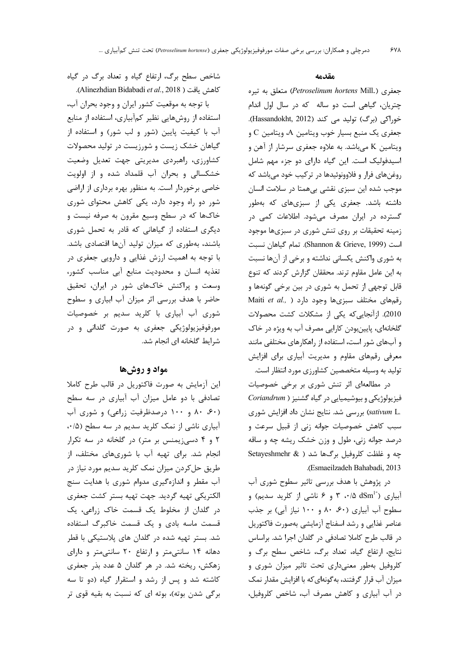شاخص سطح برگ، ارتفاع گیاه و تعداد برگ در گیاه Alinezhdian Bidabadi et al., 2018).

با توجه به موقعیت کشور ایران و وجود بحران آب، استفاده از روشهایی نظیر کمآبیاری، استفاده از منابع آب با کیفیت پایین (شور و لب شور) و استفاده از گیاهان خشک زیست و شورزیست در تولید محصولات کشاورزی، راهبردی مدیریتی جهت تعدیل وضعیت خشکسالی و بحران آب قلمداد شده و از اولویت خاصی برخوردار است. به منظور بهره برداری از اراضی شور دو راه وجود دارد، یکی کاهش محتوای شوری خاکها که در سطح وسیع مقرون به صرفه نیست و دیگری استفاده از گیاهانی که قادر به تحمل شوری باشند، بهطوری که میزان تولید آنها اقتصادی باشد. با توجه به اهمیت ارزش غذایی و دارویی جعفری در تغذیه انسان و محدودیت منابع آبی مناسب کشور، وسعت و پراکنش خاکهای شور در ایران، تحقیق حاضر با هدف بررسی اثر میزان آب ابیاری و سطوح شوری آب آبیاری با کلرید سدیم بر خصوصیات مورفوفيزيولوژيکي جعفري به صورت گلداني و در شرایط گلخانه ای انجام شد.

## مواد و روشها

این آزمایش به صورت فاکتوریل در قالب طرح کاملا تصادفی با دو عامل میزان آب آبیاری در سه سطح (۶۰، ۸۰ و ۱۰۰ درصدظرفیت زراعی) و شوری آب آبیاری ناشی از نمک کلرید سدیم در سه سطح (۰/۵) ۲ و ۴ دسیزیمنس بر متر) در گلخانه در سه تکرار انجام شد. برای تهیه آب با شوریهای مختلف، از طريق حل کردن ميزان نمک کلريد سديم مورد نياز در آب مقطر و اندازهگیری مدوام شوری با هدایت سنج الكتريكي تهيه گرديد. جهت تهيه بستر كشت جعفري در گلدان از مخلوط یک قسمت خاک زراعی، یک قسمت ماسه بادی و یک قسمت خاکبرگ استفاده شد. بستر تهیه شده در گلدان های پلاستیکی با قطر دهانه ۱۴ سانتی متر و ارتفاع ۲۰ سانتی متر و دارای زهکش، ریخته شد. در هر گلدان ۵ عدد بذر جعفری کاشته شد و پس از رشد و استقرار گیاه (دو تا سه برگی شدن بوته)، بوته ای که نسبت به بقیه قوی تر

#### مقدمه

جعفري (Petroselinum hortens Mill.) متعلق به تيره چتریان، گیاهی است دو ساله که در سال اول اندام خوراکی (برگ) تولید می کند (Hassandokht, 2012). جعفری یک منبع بسیار خوب ویتامین A، ویتامین C و ویتامین K مے باشد. به علاوه جعفری سرشار از آهن و اسیدفولیک است. این گیاه دارای دو جزء مهم شامل روغنهای فرار و فلاوونوئیدها در ترکیب خود میباشد که موجب شده این سبزی نقشی بیهمتا در سلامت انسان داشته باشد. جعفری یکی از سبزیهای که بهطور گسترده در ایران مصرف میشود. اطلاعات کمی در زمینه تحقیقات بر روی تنش شوری در سبزیها موجود است (Shannon & Grieve, 1999). تمام گیاهان نسبت به شوری واکنش یکسانی نداشته و برخی از آنها نسبت به این عامل مقاوم ترند. محققان گزارش کردند که تنوع قابل توجهي از تحمل به شوري در بين برخي گونهها و Maiti et al., ) رقمهای مختلف سبزیها وجود دارد 2010). ازآنجایی که یکی از مشکلات کشت محصولات گلخانهای، پایینبودن کارایی مصرف آب به ویژه در خاک و آبهای شور است، استفاده از راهکارهای مختلفی مانند معرفی رقمهای مقاوم و مدیریت آبیاری برای افزایش تولید به وسیله متخصصین کشاورزی مورد انتظار است.

در مطالعهای اثر تنش شوری بر برخی خصوصیات فیزیولوژیکی و بیوشیمیایی در گیاه گشنیز ( Coriandrum Sativum L. بررسی شد. نتایج نشان داد افزایش شوری سبب كاهش خصوصيات جوانه زني از قبيل سرعت و درصد جوانه زني، طول و وزن خشک ريشه چه و ساقه چه و غلظت کلروفیل برگها شد ( & Setayeshmehr .(Esmaeilzadeh Bahabadi, 2013

در پژوهش با هدف بررسی تاثیر سطوح شوری آب آبیاری (A dSm 1-). ۳ و ۶ ناشی از کلرید سدیم) و سطوح آب آبیاری (۶۰، ۸۰ و ۱۰۰ نیاز آبی) بر جذب عناصر غذايي و رشد اسفناج آزمايشي بهصورت فاكتوريل در قالب طرح کاملا تصادفی در گلدان اجرا شد. براساس نتايج، ارتفاع گياه، تعداد برگ، شاخص سطح برگ و کلروفیل بهطور معنے داری تحت تاثیر میزان شوری و میزان آب قرار گرفتند، بهگونهای که با افزایش مقدار نمک در آب آبیاری و کاهش مصرف آب، شاخص کلروفیل،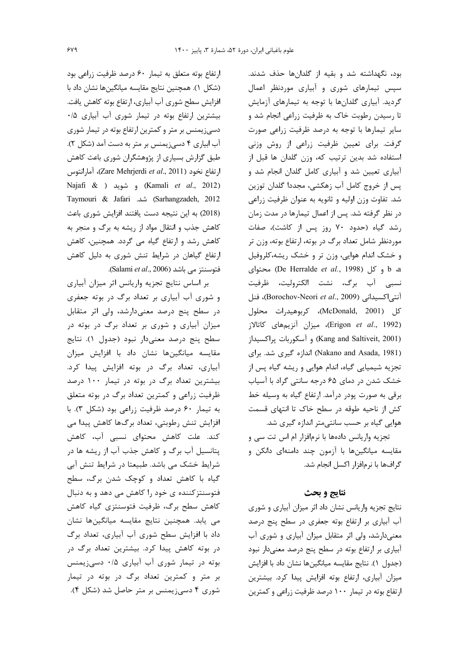ارتفاع بوته متعلق به تيمار ۶۰ درصد ظرفيت زراعى بود (شکل ١). همچنین نتایج مقایسه میانگینها نشان داد با افزایش سطح شوری آب آبیاری، ارتفاع بوته کاهش یافت. بیشترین ارتفاع بوته در تیمار شوری آب آبیاری ۰/۵ دسیزیمنس بر متر و کمترین ارتفاع بوته در تیمار شوری آب ابیاری ۴ دسیزیمنس بر متر به دست آمد (شکل ۲). طبق گزارش بسیاری از پژوهشگران شوری باعث کاهش ارتفاع نخود (Zare Mehrjerdi et al., 2011)، آمارانتوس Najafi & ) و شويد ( Kamali et al., 2012) Taymouri & Jafari شد. Sarhangzadeh, 2012 (2018) به این نتیجه دست یافتند افزایش شوری باعث کاهش جذب و انتقال مواد از ریشه به برگ و منجر به کاهش رشد و ارتفاع گیاه می گردد. همچنین، کاهش ارتفاع گیاهان در شرایط تنش شوری به دلیل کاهش .(Salami et al., 2006). (Salami et al., 2006).

بر اساس نتايج تجزيه واريانس اثر ميزان أبيارى و شوری آب آبیاری بر تعداد برگ در بوته جعفری در سطح پنج درصد معنیدارشد، ولی اثر متقابل میزان آبیاری و شوری بر تعداد برگ در بوته در سطح پنج درصد معنىدار نبود (جدول ١). نتايج مقایسه میانگینها نشان داد با افزایش میزان آبیاری، تعداد برگ در بوته افزایش پیدا کرد. بیشترین تعداد برگ در بوته در تیمار ۱۰۰ درصد ظرفیت زراعی و کمترین تعداد برگ در بوته متعلق به تیمار ۶۰ درصد ظرفیت زراعی بود (شکل ۳). با افزایش تنش رطوبتی، تعداد برگها کاهش پیدا می کند. علت کاهش محتوای نسبی آب، کاهش پتانسیل آب برگ و کاهش جذب آب از ریشه ها در شرایط خشک می باشد. طبیعتا در شرایط تنش آبی گیاه با کاهش تعداد و کوچک شدن برگ، سطح فتوسنتزکننده ی خود را کاهش می دهد و به دنبال كاهش سطح برگ، ظرفيت فتوسنتزى گياه كاهش می یابد. همچنین نتایج مقایسه میانگینها نشان داد با افزایش سطح شوری آب آبیاری، تعداد برگ در بوته کاهش پیدا کرد. بیشترین تعداد برگ در بوته در تیمار شوری آب آبیاری ۰/۵ دسی;یمنس بر متر و کمترین تعداد برگ در بوته در تیمار شوری ۴ دسی; یمنس بر متر حاصل شد (شکل ۴). بود، نگهداشته شد و بقیه از گلدانها حذف شدند. سپس تیمارهای شوری و آبیاری موردنظر اعمال گردید. آبیاری گلدانها با توجه به تیمارهای آزمایش تا رسیدن رطوبت خاک به ظرفیت زراعی انجام شد و سایر تیمارها با توجه به درصد ظرفیت زراعی صورت گرفت. برای تعیین ظرفیت زراعی از روش وزنی استفاده شد بدين ترتيب كه، وزن گلدان ها قبل از آبیاری تعیین شد و آبیاری کامل گلدان انجام شد و پس از خروج كامل آب زهكشي، مجددا گلدان توزين شد. تفاوت وزن اوليه و ثانويه به عنوان ظرفيت زراعي در نظر گرفته شد. پس از اعمال تیمارها در مدت زمان رشد گیاه (حدود ۷۰ روز پس از کاشت)، صفات موردنظر شامل تعداد برگ در بوته، ارتفاع بوته، وزن تر و خشک اندام هوایی، وزن تر و خشک ریشه،کلروفیل b a و كل (De Herralde et al., 1998) محتواى نسبي آب برگ، نشت الكتروليت، ظرفيت آنتي اكسيداني (Borochov-Neori et al., 2009)، فنل كل (McDonald, 2001)، كربوهيدرات محلول (Erigon et al., 1992)، ميزان آنزيمهاى كاتالاز (Kang and Saltiveit, 2001) و آسكوربات پراكسيداز (Nakano and Asada, 1981) اندازه گیری شد. برای تجزیه شیمیایی گیاه، اندام هوایی و ریشه گیاه پس از خشک شدن در دمای ۶۵ درجه سانتی گراد با آسیاب برقی به صورت پودر درآمد. ارتفاع گیاه به وسیله خط کش از ناحیه طوقه در سطح خاک تا انتهای قسمت هوایی گیاه بر حسب سانتی متر اندازه گیری شد.

تجزیه واریانس دادهها با نرمافزار ام اس تت سی و مقایسه میانگینها با آزمون چند دامنهای دانکن و گرافها با نرمافزار اکسل انجام شد.

## نتايج و بحث

نتایج تجزیه واریانس نشان داد اثر میزان آبیاری و شوری آب آبیاری بر ارتفاع بوته جعفری در سطح پنج درصد معنیدارشد، ولی اثر متقابل میزان آبیاری و شوری آب آبیاری بر ارتفاع بوته در سطح پنج درصد معنیدار نبود (جدول ١). نتايج مقايسه ميانگينها نشان داد با افزايش میزان آبیاری، ارتفاع بوته افزایش پیدا کرد. بیشترین ارتفاع بوته در تیمار ۱۰۰ درصد ظرفیت زراعی و کمترین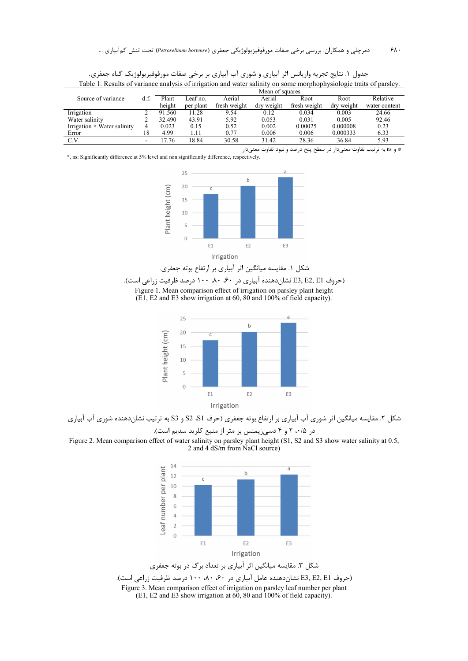|                                    |      | Mean of squares |           |              |            |              |            |               |
|------------------------------------|------|-----------------|-----------|--------------|------------|--------------|------------|---------------|
| Source of variance                 | d.f. | Plant           | Leaf no.  | Aerial       | Aerial     | Root         | Root       | Relative      |
|                                    |      | height          | per plant | fresh weight | dry weight | fresh weight | drv weight | water content |
| Irrigation                         |      | 91.560          | 11.28     | 9.54         | 0.12       | 0.034        | 0.003      | 24.66         |
| Water salinity                     |      | 32.490          | 43.91     | 5.92         | 0.053      | 0.031        | 0.005      | 92.46         |
| Irrigation $\times$ Water salinity | 4    | 0.023           | 0.15      | 0.52         | 0.002      | 0.00025      | 0.000008   | 0.23          |
| Error                              | 8    | 4.99            | l.11      | 0.77         | 0.006      | 0.006        | 0.000333   | 6.33          |
| C.V.                               | -    | 7.76            | 18.84     | 30.58        | 31.42      | 28.36        | 36.84      | 5.93          |

جدول ١. نتايج تجزيه واريانس اثر آبياري و شوري آب آبياري بر برخي صفات مورفوفيزيولوژيک گياه جعفري. Table 1. Results of variance analysis of irrigation and water salinity on some morphophysiologic traits of parsley.

\* و ns به ترتیب تفاوت معنیدار در سطح پنج درصد و نبود تفاوت معنیدار \*, ns: Significantly difference at 5% level and non significantly difference, respectively.



شکل ۱. مقایسه میانگین اثر آبیاری بر ارتفاع بوته جعفری.

(حروف E3, E2, E1 نشان دهنده آبیاری در ۶۰، ۸۰، ۱۰۰ درصد ظرفیت زراعی است).

Figure 1. Mean comparison effect of irrigation on parsley plant height  $(E1, E2 \text{ and } E3 \text{ show irrigation at 60, } 80 \text{ and } 100\% \text{ of field capacity}).$ 



شکل ۲. مقایسه میانگین اثر شوری آب آبیاری بر ارتفاع بوته جعفری (حرف S1، S2 و S3 به ترتیب نشاندهنده شوری آب آبیاری در ۲۰۰/۵ و ۴ دسی; یمنس بر متر از منبع کلرید سدیم است).

Figure 2. Mean comparison effect of water salinity on parsley plant height (S1, S2 and S3 show water salinity at 0.5, 2 and 4 dS/m from NaCl source)



(E1, E2 and E3 show irrigation at 60, 80 and 100% of field capacity).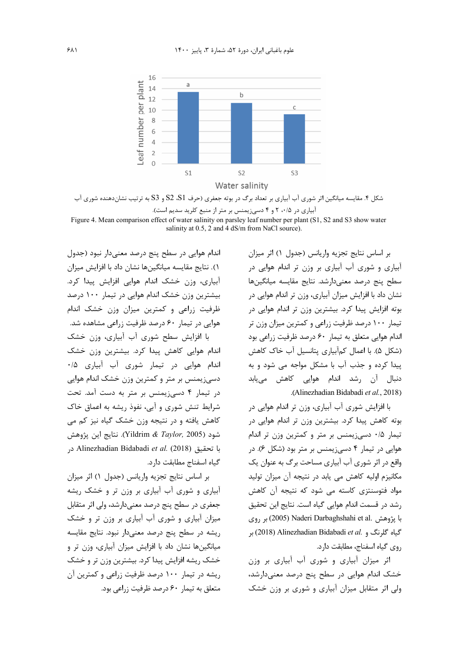

شکل ۴. مقایسه میانگین اثر شوری آب آبیاری بر تعداد برگ در بوته جعفری (حرف S1، S2 و S3 به ترتیب نشاندهنده شوری آب آبیاری در ۲۰٬۵ و ۴ دسیزیمنس بر متر از منبع کلرید سدیم است).

Figure 4. Mean comparison effect of water salinity on parsley leaf number per plant (S1, S2 and S3 show water salinity at  $0.5$ ,  $2$  and  $4$  dS/m from NaCl source).

> بر اساس نتايج تجزيه واريانس (جدول ١) اثر ميزان آبیاری و شوری آب آبیاری بر وزن تر اندام هوایی در سطح ينج درصد معنىدارشد. نتايج مقايسه ميانگينها نشان داد با افزایش میزان آبیاری، وزن تر اندام هوایی در بوته افزایش پیدا کرد. بیشترین وزن تر اندام هوایی در تیمار ۱۰۰ درصد ظرفیت زراعی و کمترین میزان وزن تر اندام هوایی متعلق به تیمار ۶۰ درصد ظرفیت زراعی بود (شکل ۵). با اعمال کمآبیاری پتانسیل آب خاک کاهش پیدا کرده و جذب آب با مشکل مواجه می شود و به دنبال آن رشد اندام هوایی کاهش مییابد .(Alinezhadian Bidabadi et al., 2018)

> با افزایش شوری آب آبیاری، وزن تر اندام هوایی در بوته کاهش پیدا کرد. بیشترین وزن تر اندام هوایی در تیمار ۰/۵ دسی; یمنس بر متر و کمترین وزن تر اندام هوایی در تیمار ۴ دسی;یمنس بر متر بود (شکل ۶). در واقع در اثر شوري آب آبياري مساحت برگ به عنوان يک مکانیزم اولیه کاهش می یابد در نتیجه آن میزان تولید مواد فتوسنتزی کاسته می شود که نتیجه آن کاهش رشد در قسمت اندام هوایی گیاه است. نتایج این تحقیق با پژوهش .Naderi Darbaghshahi et al (2005) بر روی بر (2018) Alinezhadian Bidabadi et al. بر روي گياه اسفناج، مطابقت دارد.

> اثر میزان آبیاری و شوری آب آبیاری بر وزن خشک اندام هوایی در سطح پنج درصد معنی دارشد، ولی اثر متقابل میزان آبیاری و شوری بر وزن خشک

اندام هوایی در سطح پنج درصد معنی دار نبود (جدول ١). نتايج مقايسه ميانگينها نشان داد با افزايش ميزان آبیاری، وزن خشک اندام هوایی افزایش پیدا کرد. بیشترین وزن خشک اندام هوایی در تیمار ۱۰۰ درصد ظرفیت زراعی و کمترین میزان وزن خشک اندام هوایی در تیمار ۶۰ درصد ظرفیت زراعی مشاهده شد.

با افزایش سطح شوری آب آبیاری، وزن خشک اندام هوایی کاهش پیدا کرد. بیشترین وزن خشک اندام هوایی در تیمار شوری آب آبیاری ۰/۵ دسیزیمنس بر متر و کمترین وزن خشک اندام هوایی در تیمار ۴ دسی;یمنس بر متر به دست آمد. تحت شرایط تنش شوری و آبی، نفوذ ریشه به اعماق خاک کاهش یافته و در نتیجه وزن خشک گیاه نیز کم می شود (Yildrim & Taylor, 2005). نتايج اين پژوهش با تحقيق (2018) Alinezhadian Bidabadi et al. (2018 گیاه اسفناج مطابقت دارد.

بر اساس نتايج تجزيه واريانس (جدول ١) اثر ميزان آبیاری و شوری آب آبیاری بر وزن تر و خشک ریشه جعفري در سطح پنج درصد معنىٍدارشد، ولي اثر متقابل میزان آبیاری و شوری آب آبیاری بر وزن تر و خشک ریشه در سطح پنج درصد معنیدار نبود. نتایج مقایسه میانگینها نشان داد با افزایش میزان آبیاری، وزن تر و خشک ریشه افزایش پیدا کرد. بیشترین وزن تر و خشک ریشه در تیمار ۱۰۰ درصد ظرفیت زراعی و کمترین آن متعلق به تیما, ۶۰ درصد ظرفیت زراعی بود.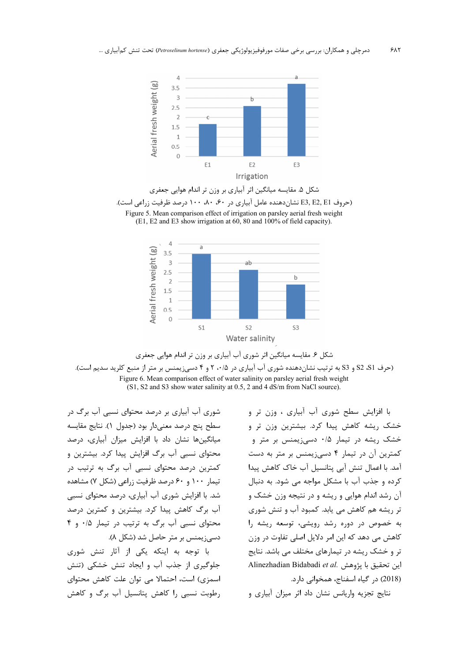









شوری آب آبیاری بر درصد محتوای نسبی آب برگ در سطح پنج درصد معنى دار بود (جدول ١). نتايج مقايسه میانگینها نشان داد با افزایش میزان آبیاری، درصد محتوای نسبی آب برگ افزایش پیدا کرد. بیشترین و کمترین درصد محتوای نسبی آب برگ به ترتیب در تیمار ۱۰۰ و ۶۰ درصد ظرفیت زراعی (شکل ۷) مشاهده شد. با افزایش شوری آب آبیاری، درصد محتوای نسبی آب برگ کاهش پیدا کرد. بیشترین و کمترین درصد محتوای نسبی آب برگ به ترتیب در تیمار ۰/۵ و ۴ دسی; یمنس بر متر حاصل شد (شکل ۸).

با توجه به اینکه یکی از آثار تنش شوری جلوگیری از جذب آب و ایجاد تنش خشکی (تنش اسمزی) است، احتمالا می توان علت کاهش محتوای رطوبت نسبی را کاهش پتانسیل آب برگ و کاهش

با افزایش سطح شوری آب آبیاری ، وزن تر و خشک ریشه کاهش پیدا کرد. بیشترین وزن تر و خشک ریشه در تیمار ۰/۵ دسیزیمنس بر متر و كمترين آن در تيمار ۴ دسي; يمنس بر متر به دست آمد. با اعمال تنش آبی پتانسیل آب خاک کاهش پیدا کرده و جذب آب با مشکل مواجه می شود. به دنبال آن رشد اندام هوایی و ریشه و در نتیجه وزن خشک و تر ریشه هم کاهش می یابد. کمبود آب و تنش شوری به خصوص در دوره رشد رویشی، توسعه ریشه را کاهش می دهد که این امر دلایل اصلی تفاوت در وزن تر و خشک ریشه در تیمارهای مختلف می باشد. نتایج Alinezhadian Bidabadi et al. اين تحقيق با يژوهش (2018) در گیاه اسفناج، همخوانی دارد.

نتایج تجزیه واریانس نشان داد اثر میزان آبیاری و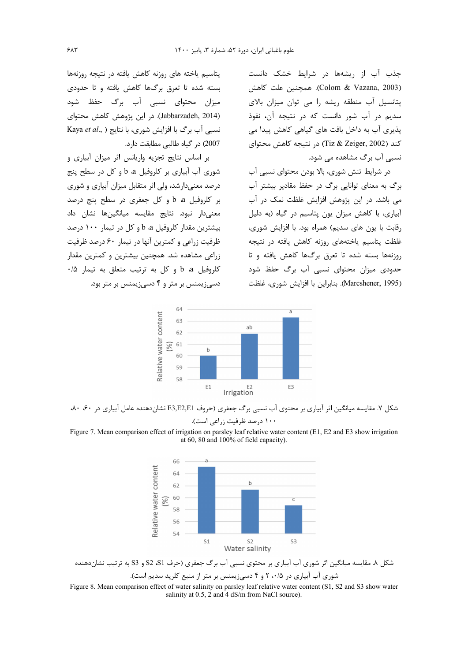جذب آب از ریشهها در شرایط خشک دانست (Colom & Vazana, 2003). همچنین علت کاهش پتانسیل آب منطقه ریشه را می توان میزان بالای سديم در آب شور دانست كه در نتيجه آن، نفوذ یذیری آب به داخل بافت های گیاهی کاهش پیدا می كند (Tiz & Zeiger, 2002) در نتيجه كاهش محتواي نسبی آب ہرگ مشاهده می شود.

در شرایط تنش شوری، بالا بودن محتوای نسبی آب برگ به معنای توانایی برگ در حفظ مقادیر بیشتر آب می باشد. در این پژوهش افزایش غلظت نمک در آب آبیاری، با کاهش میزان یون پتاسیم در گیاه (به دلیل رقابت با یون های سدیم) همراه بود. با افزایش شوری، غلظت پتاسیم یاختههای روزنه کاهش یافته در نتیجه روزنهها بسته شده تا تعرق برگها كاهش يافته و تا حدودی میزان محتوای نسبی آب برگ حفظ شود (Marcshener, 1995). بنابراین با افزایش شوری، غلظت

 $64$ Relative water content  $6<sup>2</sup>$  $ab$ 62 61 80  $h$ 60  $5<sup>c</sup>$  $58$  $F1$ E<sub>2</sub><br>Irrigation F<sub>3</sub>

شکل ۷. مقایسه میانگین اثر آبیاری بر محتوی آب نسبی برگ جعفری (حروف E3,E2,E1 نشاندهنده عامل آبیاری در ۶۰، ۸۰،

Figure 7. Mean comparison effect of irrigation on parsley leaf relative water content (E1, E2 and E3 show irrigation at  $60$ ,  $80$  and  $100\%$  of field capacity).



شکل ۸. مقایسه میانگین اثر شوری آب آبیاری بر محتوی نسبی آب برگ جعفری (حرف S1، S2 و S3 به ترتیب نشاندهنده

شوری آب آبیاری در ۲۰٬۵ و ۴ دسیزیمنس بر متر از منبع کلرید سدیم است).

Figure 8. Mean comparison effect of water salinity on parsley leaf relative water content (S1, S2 and S3 show water salinity at 0.5, 2 and 4 dS/m from NaCl source).

پتاسیم یاخته های روزنه کاهش یافته در نتیجه روزنهها بسته شده تا تعرق برگها کاهش یافته و تا حدودی میزان محتوای نسبی آب برگ حفظ شود (Jabbarzadeh, 2014). در این پژوهش کاهش محتوای Kaya et al., ) نسبی آب برگ با افزایش شوری، با نتایج 2007) در گیاه طالبی مطابقت دارد.

بر اساس نتايج تجزيه واريانس اثر ميزان آبيارى و شوري آب آبياري بر كلروفيل a b و كل در سطح پنج درصد معنے دارشد، ولی اثر متقابل میزان آبیاری و شوری بر کلروفیل a b و کل جعفری در سطح پنج درصد معنىدار نبود. نتايج مقايسه ميانگينها نشان داد بيشترين مقدار كلروفيل a b و كل در تيمار ١٠٠ درصد ظرفیت زراعی و کمترین آنها در تیمار ۶۰ درصد ظرفیت زراعی مشاهده شد. همچنین بیشترین و کمترین مقدار كلروفيل b a و كل به ترتيب متعلق به تيمار ٠/٥ دسی; یمنس بر متر و ۴ دسی; یمنس بر متر بود.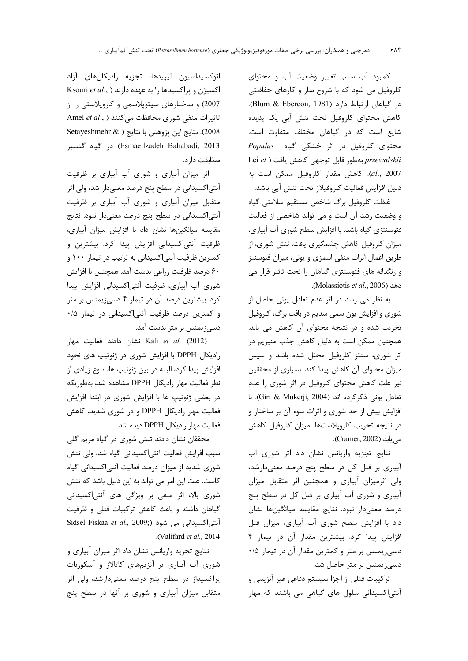كمبود آب سبب تغيير وضعيت آب و محتواى کلروفیل می شود که با شروع ساز و کارهای حفاظتی در گیاهان ارتباط دارد (Blum & Ebercon, 1981). كاهش محتواي كلروفيل تحت تنش آبى يك پديده شايع است كه در گياهان مختلف متفاوت است. Populus محتوای کلروفیل در اثر خشکی گیاه Populus Lei et ) بهطور قابل توجهي كاهش يافت ( Lei et al., 2007). كاهش مقدار كلروفيل ممكن است به دليل افزايش فعاليت كلروفيلاز تحت تنش آبي باشد.

غلظت كلروفيل برگ شاخص مستقيم سلامتى گياه و وضعیت رشد آن است و می تواند شاخصی از فعالیت فتوسنتزی گیاه باشد. با افزایش سطح شوری آب آبیاری، میزان کلروفیل کاهش چشمگیری یافت. تنش شوری، از طریق اعمال اثرات منفی اسمزی و یونی، میزان فتوسنتز و رنگدانه های فتوسنتزی گیاهان را تحت تاثیر قرار می دهد (Molassiotis et al., 2006).

به نظر می رسد در اثر عدم تعادل یونی حاصل از شوري و افزايش يون سمي سديم در بافت برگ، كلروفيل تخریب شده و در نتیجه محتوای آن کاهش می یابد. همچنین ممکن است به دلیل کاهش جذب منیزیم در اثر شوری، سنتز کلروفیل مختل شده باشد و سپس میزان محتوای آن کاهش پیدا کند. بسیاری از محققین نیز علت کاهش محتوای کلروفیل در اثر شوری را عدم تعادل يونى ذكركرده اند (Giri & Mukerji, 2004). با افزایش بیش از حد شوری و اثرات سوء آن بر ساختار و در نتیجه تخریب کلروپلاستها، میزان کلروفیل کاهش می یابد (Cramer, 2002).

نتايج تجزيه واريانس نشان داد اثر شورى آب آبیاری بر فنل کل در سطح پنج درصد معنیدارشد، ولی اثرمیزان آبیاری و همچنین اثر متقابل میزان آبیاری و شوری آب آبیاری بر فنل کل در سطح پنج درصد معنىدار نبود. نتايج مقايسه ميانگينها نشان داد با افزایش سطح شوری آب آبیاری، میزان فنل افزایش پیدا کرد. بیشترین مقدار آن در تیمار ۴ دسیزیمنس بر متر و کمترین مقدار آن در تیمار ۰/۵ دسی; یمنس بر متر حاصل شد.

ترکیبات فنلی از اجزا سیستم دفاعی غیر آنزیمی و آنتی اکسیدانی سلول های گیاهی می باشند که مهار

اتوكسيداسيون ليييدها، تجزيه راديكالهاي آزاد Ksouri et al., ) اکسیژن و پراکسیدها را به عهده دارند 2007) و ساختارهای سیتوپلاسمی و کاروپلاستی را از تاثیرات منفی شوری محافظت می کنند ( ,Amel et al 2008). نتايج اين پژوهش با نتايج ( & Setayeshmehr Esmaeilzadeh Bahabadi, 2013) در گیاه گشنیز مطابقت دار د.

اثر میزان آبیاری و شوری آب آبیاری بر ظرفیت آنتی|کسیدانی در سطح پنج درصد معنیدار شد، ولی اثر متقابل میزان آبیاری و شوری آب آبیاری بر ظرفیت آنتی|کسیدانی در سطح پنج درصد معنیدار نبود. نتایج مقایسه میانگینها نشان داد با افزایش میزان آبیاری، ظرفیت آنتی|کسیدانی افزایش پیدا کرد. بیشترین و کمترین ظرفیت آنتی|کسیدانی به ترتیب در تیمار ۱۰۰ و ۶۰ درصد ظرفیت زراعی بدست آمد. همچنین با افزایش شوری آب آبیاری، ظرفیت آنتی|کسیدانی افزایش پیدا کرد. بیشترین درصد آن در تیمار ۴ دسی;یمنس بر متر و کمترین درصد ظرفیت آنتی|کسیدانی در تیمار ۰/۵ دسی;یمنس بر متر بدست آمد.

نشان دادند فعالیت مهار Kafi *et al*. (2012) رادیکال DPPH با افزایش شوری در ژنوتیپ های نخود افزایش پیدا کرد، البته در بین ژنوتیپ ها، تنوع زیادی از نظر فعالیت مهار رادیکال DPPH مشاهده شد، بهطوریکه در بعضی ژنوتیپ ها با افزایش شوری در ابتدا افزایش فعالیت مهار رادیکال DPPH و در شوری شدید، کاهش فعالیت مهار رادیکال DPPH دیده شد.

محققان نشان دادند تنش شوری در گیاه مریم گلی سبب افزایش فعالیت آنتیاکسیدانی گیاه شد، ولی تنش شوری شدید از میزان درصد فعالیت آنتیاکسیدانی گیاه كاست. علت اين امر مي تواند به اين دليل باشد كه تنش شوری بالا، اثر منفی بر ویژگی های آنتی|کسیدانی گیاهان داشته و باعث کاهش ترکیبات فنلی و ظرفیت Sidsel Fiskaa et al., 2009;) شود (Sidsel Fiskaa et al., 2009; .(Valifard et al., 2014).

نتایج تجزیه واریانس نشان داد اثر میزان آبیاری و شوری آب آبیاری بر آنزیمهای کاتالاز و آسکوربات پراکسیداز در سطح پنج درصد معنیدارشد، ولی اثر متقابل میزان آبیاری و شوری بر آنها در سطح پنج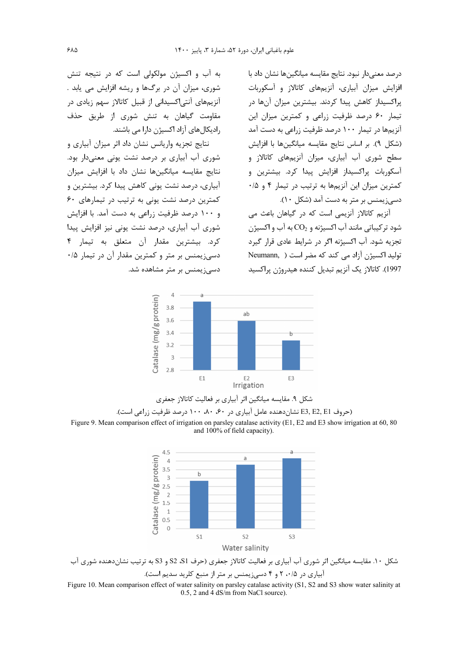درصد معنى دار نبود. نتايج مقايسه ميانگين ها نشان داد با افزایش میزان آبیاری، آنزیمهای کاتالاز و آسکوربات یراکسیداز کاهش پیدا کردند. بیشترین میزان آنها در تیمار ۶۰ درصد ظرفیت زراعی و کمترین میزان این آنزیمها در تیمار ۱۰۰ درصد ظرفیت زراعی به دست آمد (شكل ٩). بر اساس نتايج مقايسه ميانگينها با افزايش سطح شوری آب آبیاری، میزان آنزیمهای کاتالاز و .<br>آسکو,بات یراکسیداز افزایش پیدا کرد. بیشترین و کمترین میزان این آنزیمها به ترتیب در تیمار ۴ و ۰/۵ دسی; یمنس بر متر به دست آمد (شکل ۱۰).

آنزیم کاتالاز آنزیمی است که در گیاهان باعث می شود ترکیباتی مانند آب اکسیژنه و  $\rm CO_2$  به آب و اکسیژن تجزیه شود. آب اکسیژنه اگر در شرایط عادی قرار گیرد تولید اکسیژن آزاد می کند که مضر است ( Neumann, 1997). كاتالاز يک آنزيم تبديل كننده هيدروژن پراكسيد

به آب و اکسیژن مولکولی است که در نتیجه تنش شوری، میزان آن در برگها و ریشه افزایش می یابد . ۔<br>آنزیمهای آنتے اکسیدانی از قبیل کاتالاز سهم زیادی در مقاومت گیاهان به تنش شوری از طریق حذف ، ادیکال های آزاد اکسیژن دارا می باشند.

نتایج تجزیه واریانس نشان داد اثر میزان آبیاری و شوری آب آبیاری بر درصد نشت یونی معنیدار بود. نتایج مقایسه میانگینها نشان داد با افزایش میزان آبیاری، درصد نشت یونی کاهش پیدا کرد. بیشترین و کمترین درصد نشت یونی به ترتیب در تیمارهای ۶۰ و ۱۰۰ درصد ظرفیت زراعی به دست آمد. با افزایش شوری آب آبیاری، درصد نشت یونی نیز افزایش پیدا کرد. بیشترین مقدار آن متعلق به تیمار ۴ دسی; یمنس بر متر و کمترین مقدار آن در تیمار ۰/۵ دسی; یمنس بر متر مشاهده شد.





(حروف E3, E2, E1 نشان دهنده عامل آبیاری در ۶۰، ۸۰، ۱۰۰ درصد ظرفیت زراعی است). Figure 9. Mean comparison effect of irrigation on parsley catalase activity (E1, E2 and E3 show irrigation at 60, 80 and 100% of field capacity).



شکل ۱۰. مقایسه میانگین اثر شوری آب آبیاری بر فعالیت کاتالاز جعفری (حرف S1، S2 و S3 به ترتیب نشاندهنده شوری آب

آبیاری در ۲۰۰۵ و ۴ دسی; یمنس بر متر از منبع کلرید سدیم است).

Figure 10. Mean comparison effect of water salinity on parsley catalase activity (S1, S2 and S3 show water salinity at  $0.5$ , 2 and 4 dS/m from NaCl source).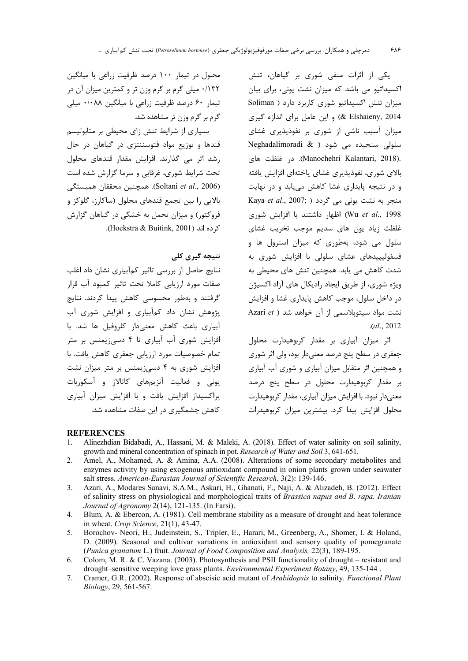یکی از اثرات منفی شوری بر گیاهان، تنش اکسیداتیو می باشد که میزان نشت یونی، برای بیان میزان تنش اکسیداتیو شوری کاربرد دارد ( Soliman 8 Elshaieny, 2014) و این عامل برای اندازه گیری میزان آسیب ناشی از شوری بر نفوذپذیری غشای Meghadalimoradi & ) شود ( Neghadalimoradi & ) .(Manochehri Kalantari, 2018). در غلظت های بالای شوری، نفوذیذیری غشای یاختهای افزایش یافته و در نتیجه پایداری غشا کاهش می یابد و در نهایت Kaya et al., 2007; ) منجر به نشت یونی می گردد Wu et al., 1998) اظهار داشتند با افزایش شوری .<br>غلظت زياد يون هاي سديم موجب تخريب غشاي سلول می شود، بهطوری که میزان استرول ها و فسفولیپیدهای غشای سلولی با افزایش شوری به شدت کاهش می یابد. همچنین تنش های محیطی به ویژه شوری، از طریق ایجاد رادیکال های آزاد اکسیژن در داخل سلول، موجب كاهش پايداري غشا و افزايش نشت مواد سیتوپلاسمی از آن خواهد شد ( Azari et  $. (al., 2012)$ 

اثر میزان آبیاری بر مقدار کربوهیدارت محلول جعفري در سطح پنج درصد معنىدار بود، ولي اثر شوري و همچنین اثر متقابل میزان آبیاری و شوری آب آبیاری بر مقدار کربوهیدارت محلول در سطح پنج درصد معنی دار نبود. با افزایش میزان آبیاری، مقدار کربوهیدارت محلول افزایش پیدا کرد. بیشترین میزان کربوهیدرات

محلول در تیمار ۱۰۰ درصد ظرفیت زراعی با میانگین ۱۳۲/۰ میلی گرم بر گرم وزن تر و کمترین میزان آن در تیمار ۶۰ درصد ظرفیت زراعی با میانگین ۰/۰۸۸ میلی گرم بر گرم وزن تر مشاهده شد.

بسیاری از شرایط تنش زای محیطی بر متابولیسم قندها و توزیع مواد فتوسننتزی در گیاهان در حال رشد اثر می گذارند. افزایش مقدار قندهای محلول تحت شرایط شوری، غرقابی و سرما گزارش شده است (Soltani et al., 2006). همچنین محققان همبستگی بالایی را بین تجمع قندهای محلول (ساکارز، گلوکز و فروکتور) و میزان تحمل به خشکی در گیاهان گزارش كرده اند (Hoekstra & Buitink, 2001).

# نتىجە گىرى كلى

نتایج حاصل از بررسی تاثیر کمآبیاری نشان داد اغلب صفات مورد ارزيابي كاملا تحت تاثير كمبود آب قرار گرفتند و بەطور محسوسی کاهش پیدا کردند. نتایج یژوهش نشان داد کمآبیاری و افزایش شوری آب ۔<br>آبیاری باعث کاهش معنیدار کلروفیل ها شد. با افزایش شوری آب آبیاری تا ۴ دسی; یمنس بر متر تمام خصوصیات مورد ارزیابی جعفری کاهش یافت. با افزایش شوری به ۴ دسیزیمنس بر متر میزان نشت یونی و فعالیت آنزیمهای کاتالاز و آسکوربات یراکسیداز افزایش یافت و با افزایش میزان آبیاری کاهش چشمگیری د<sub>د</sub> این صفات مشاهده شد.

### **REFERENCES**

- Alinezhdian Bidabadi, A., Hassani, M. & Maleki, A. (2018). Effect of water salinity on soil salinity,  $\mathbf{1}$ . growth and mineral concentration of spinach in pot. Research of Water and Soil 3, 641-651.
- Amel, A., Mohamed, A. & Amina, A.A. (2008). Alterations of some secondary metabolites and 2. enzymes activity by using exogenous antioxidant compound in onion plants grown under seawater salt stress. American-Eurasian Journal of Scientific Research, 3(2): 139-146.
- Azari, A., Modares Sanavi, S.A.M., Askari, H., Ghanati, F., Naji, A. & Alizadeh, B. (2012). Effect  $3.$ of salinity stress on physiological and morphological traits of Brassica napus and B. rapa. Iranian Journal of Agronomy 2(14), 121-135. (In Farsi).
- Blum, A. & Ebercon, A. (1981). Cell membrane stability as a measure of drought and heat tolerance  $\mathbf{4}$ . in wheat. Crop Science,  $21(1)$ , 43-47.
- Borochov- Neori, H., Judeinstein, S., Tripler, E., Harari, M., Greenberg, A., Shomer, I. & Holand, 5. D. (2009). Seasonal and cultivar variations in antioxidant and sensory quality of pomegranate (Punica granatum L.) fruit. Journal of Food Composition and Analysis, 22(3), 189-195.
- Colom, M. R. & C. Vazana. (2003). Photosynthesis and PSII functionality of drought resistant and 6. drought-sensitive weeping love grass plants. Environmental Experiment Botany, 49, 135-144.
- $7.$ Cramer, G.R. (2002). Response of abscisic acid mutant of Arabidopsis to salinity. Functional Plant Biology, 29, 561-567.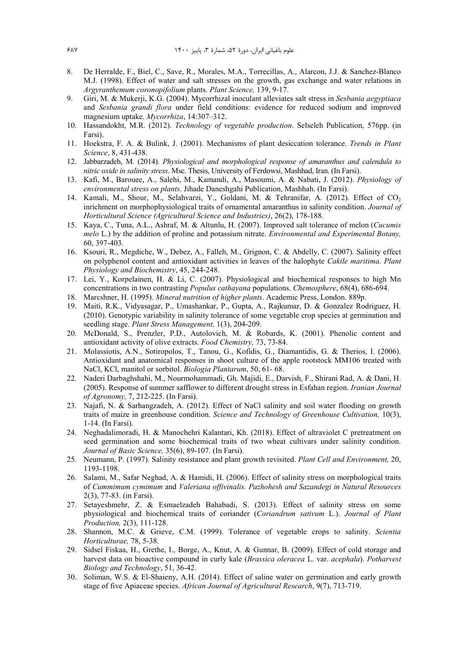- 8. De Herralde, F., Biel, C., Save, R., Morales, M.A., Torrecillas, A., Alarcon, J.J. & Sanchez-Blanco M.J. (1998). Effect of water and salt stresses on the growth, gas exchange and water relations in *Argyranthemum coronopifolium* plants. *Plant Science,* 139, 9-17.
- 9. Giri, M. & Mukerji, K.G. (2004). Mycorrhizal inoculant alleviates salt stress in *Sesbania aegyptiaca* and *Sesbania grandi flora* under field conditions: evidence for reduced sodium and improved magnesium uptake. *Mycorrhiza*, 14:307–312.
- 10. Hassandokht, M.R. (2012). *Technology of vegetable production*. Selseleh Publication, 576pp. (in Farsi).
- 11. Hoekstra, F. A. & Bulink, J. (2001). Mechanisms of plant desiccation tolerance. *Trends in Plant Science*, 8, 431-438.
- 12. Jabbarzadeh, M. (2014). *Physiological and morphological response of amaranthus and calendula to nitric oxide in salinity stress*. Msc. Thesis, University of Ferdowsi, Mashhad, Iran. (In Farsi).
- 13. Kafi, M., Barouee, A., Salehi, M., Kamandi, A., Masoumi, A. & Nabati, J. (2012). *Physiology of environmental stress on plants*. Jihade Daneshgahi Publication, Mashhah. (In Farsi).
- 14. Kamali, M., Shour, M., Selahvarzi, Y., Goldani, M. & Tehranifar, A. (2012). Effect of CO<sub>2</sub> inrichment on morphophysiological traits of ornamental amaranthus in salinity condition. *Journal of Horticultural Science (Agricultural Science and Industries)*, 26(2), 178-188.
- 15. Kaya, C., Tuna, A.L., Ashraf, M. & Altunlu, H. (2007). Improved salt tolerance of melon (*Cucumis melo* L.) by the addition of proline and potassium nitrate. *Environmental and Experimental Botany,* 60, 397-403.
- 16. Ksouri, R., Megdiche, W., Debez, A., Falleh, M., Grignon, C. & Abdelly, C. (2007). Salinity effect on polyphenol content and antioxidant activities in leaves of the halophyte *Cakile maritima*. *Plant Physiology and Biochemistry*, 45, 244-248.
- 17. Lei, Y., Korpelainen, H. & Li, C. (2007). Physiological and biochemical responses to high Mn concentrations in two contrasting *Populus cathayana* populations. *Chemosphere*, 68(4), 686-694.
- 18. Marcshner, H. (1995). *Mineral nutrition of higher plants*. Academic Press, London. 889p.
- 19. Maiti, R.K., Vidyasagar, P., Umashankar, P., Gupta, A., Rajkumar, D. & Gonzalez Rodriguez, H. (2010). Genotypic variability in salinity tolerance of some vegetable crop species at germination and seedling stage. *Plant Stress Management,* 1(3), 204-209.
- 20. McDonald, S., Prenzler, P.D., Autolovich, M. & Robards, K. (2001). Phenolic content and antioxidant activity of olive extracts. *Food Chemistry,* 73, 73-84.
- 21. Molassiotis, A.N., Sotiropolos, T., Tanou, G., Kofidis, G., Diamantidis, G. & Therios, I. (2006). Antioxidant and anatomical responses in shoot culture of the apple rootstock MM106 treated with NaCl, KCl, manitol or sorbitol. *Biologia Plantarum*, 50, 61- 68.
- 22. Naderi Darbaghshahi, M., Nourmohammadi, Gh. Majidi, E., Darvish, F., Shirani Rad, A. & Dani, H. (2005). Response of summer safflower to different drought stress in Esfahan region. *Iranian Journal of Agronomy,* 7, 212-225. (In Farsi).
- 23. Najafi, N. & Sarhangzadeh, A. (2012). Effect of NaCl salinity and soil water flooding on growth traits of maize in greenhouse condition. *Science and Technology of Greenhouse Cultivation,* 10(3), 1-14. (In Farsi).
- 24. Neghadalimoradi, H. & Manochehri Kalantari, Kh. (2018). Effect of ultraviolet C pretreatment on seed germination and some biochemical traits of two wheat cultivars under salinity condition. *Journal of Basic Science,* 35(6), 89-107. (In Farsi).
- 25. Neumann, P. (1997). Salinity resistance and plant growth revisited. *Plant Cell and Environment,* 20, 1193-1198.
- 26. Salami, M., Safar Neghad, A. & Hamidi, H. (2006). Effect of salinity stress on morphological traits of *Cummimum cymimum* and *Valeriana offivinalis. Pazhohesh and Sazandegi in Natural Resources*  2(3), 77-83. (in Farsi).
- 27. Setayeshmehr, Z. & Esmaelzadeh Bahabadi, S. (2013). Effect of salinity stress on some physiological and biochemical traits of coriander (*Coriandrum sativum* L.). *Journal of Plant Production,* 2(3), 111-128.
- 28. Shannon, M.C. & Grieve, C.M. (1999). Tolerance of vegetable crops to salinity. *Scientia Horticulturae,* 78, 5-38.
- 29. Sidsel Fiskaa, H., Grethe, I., Borge, A., Knut, A. & Gunnar, B. (2009). Effect of cold storage and harvest data on bioactive compound in curly kale (*Brassica oleracea* L. var. *acephala*). *Potharvest Biology and Technology*, 51, 36-42.
- 30. Soliman, W.S. & El-Shaieny, A.H. (2014). Effect of saline water on germination and early growth stage of five Apiaceae species. *African Journal of Agricultural Research*, 9(7), 713-719.